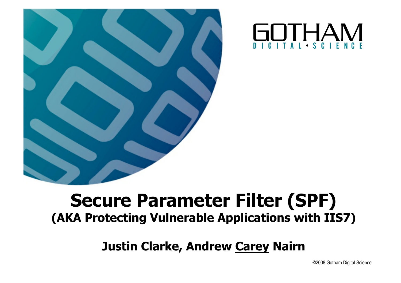



#### **Secure Parameter Filter (SPF) (AKA Protecting Vulnerable Applications with IIS7)**

**Justin Clarke, Andrew Carey Nairn**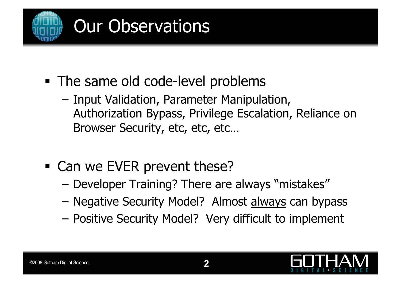

- The same old code-level problems
	- Input Validation, Parameter Manipulation, Authorization Bypass, Privilege Escalation, Reliance on Browser Security, etc, etc, etc…
- Can we EVER prevent these?
	- Developer Training? There are always "mistakes"
	- Negative Security Model? Almost always can bypass
	- Positive Security Model? Very difficult to implement

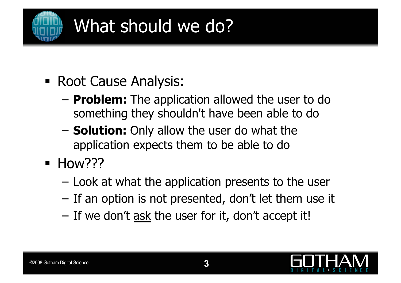

## What should we do?

- **Root Cause Analysis:** 
	- **Problem:** The application allowed the user to do something they shouldn't have been able to do
	- **Solution:** Only allow the user do what the application expects them to be able to do
- $\blacksquare$  How???
	- Look at what the application presents to the user
	- If an option is not presented, don't let them use it
	- If we don't ask the user for it, don't accept it!

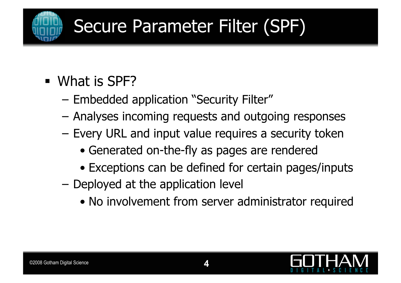

# Secure Parameter Filter (SPF)

- **What is SPF?** 
	- Embedded application "Security Filter"
	- Analyses incoming requests and outgoing responses
	- Every URL and input value requires a security token
		- Generated on-the-fly as pages are rendered
		- Exceptions can be defined for certain pages/inputs
	- Deployed at the application level
		- No involvement from server administrator required

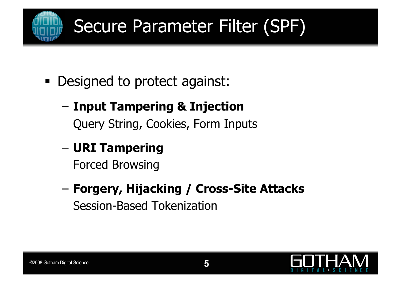

# Secure Parameter Filter (SPF)

Designed to protect against:

# – **Input Tampering & Injection**

Query String, Cookies, Form Inputs

#### – **URI Tampering**

Forced Browsing

– **Forgery, Hijacking / Cross-Site Attacks**  Session-Based Tokenization

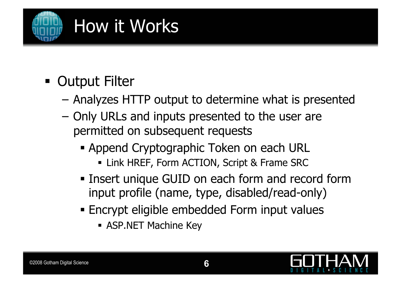

- **Output Filter** 
	- Analyzes HTTP output to determine what is presented
	- Only URLs and inputs presented to the user are permitted on subsequent requests
		- Append Cryptographic Token on each URL
			- **Link HREF, Form ACTION, Script & Frame SRC**
		- **Example Tensor Insert unique GUID on each form and record form** input profile (name, type, disabled/read-only)
		- Encrypt eligible embedded Form input values
			- **ASP.NET Machine Key**

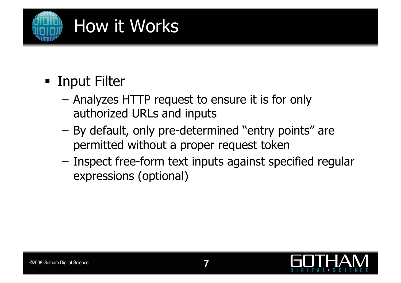

- **Example 1 Input Filter** 
	- Analyzes HTTP request to ensure it is for only authorized URLs and inputs
	- By default, only pre-determined "entry points" are permitted without a proper request token
	- Inspect free-form text inputs against specified regular expressions (optional)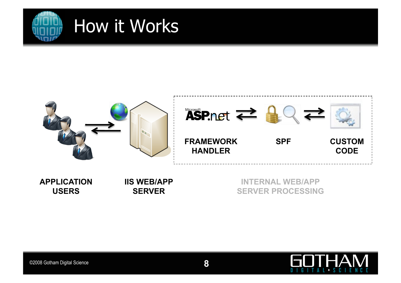



| <b>APPLICATION</b> | <b>IIS WEB/APP</b> | <b>INTERNAL WEB/APP</b>  |
|--------------------|--------------------|--------------------------|
| <b>USERS</b>       | <b>SERVER</b>      | <b>SERVER PROCESSING</b> |

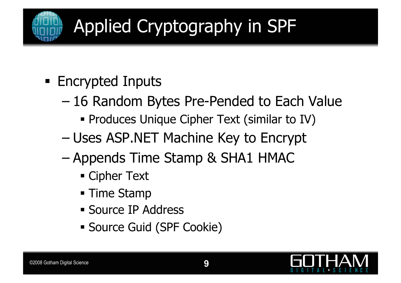

# Applied Cryptography in SPF

- **Encrypted Inputs** 
	- 16 Random Bytes Pre-Pended to Each Value
		- **Produces Unique Cipher Text (similar to IV)**
	- Uses ASP.NET Machine Key to Encrypt
	- Appends Time Stamp & SHA1 HMAC
		- Cipher Text
		- **Time Stamp**
		- **Source IP Address**
		- Source Guid (SPF Cookie)

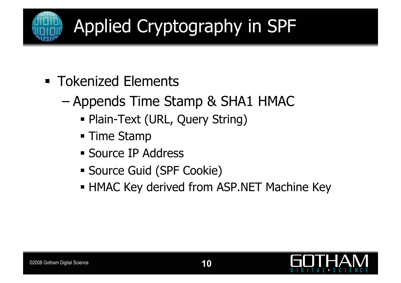

# Applied Cryptography in SPF

- **Tokenized Elements** 
	- Appends Time Stamp & SHA1 HMAC
		- Plain-Text (URL, Query String)
		- **Time Stamp**
		- **Source IP Address**
		- Source Guid (SPF Cookie)
		- **HMAC Key derived from ASP.NET Machine Key**

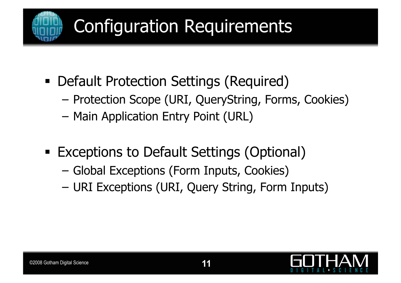

## Configuration Requirements

- Default Protection Settings (Required)
	- Protection Scope (URI, QueryString, Forms, Cookies)
	- Main Application Entry Point (URL)
- **Exceptions to Default Settings (Optional)** 
	- Global Exceptions (Form Inputs, Cookies)
	- URI Exceptions (URI, Query String, Form Inputs)

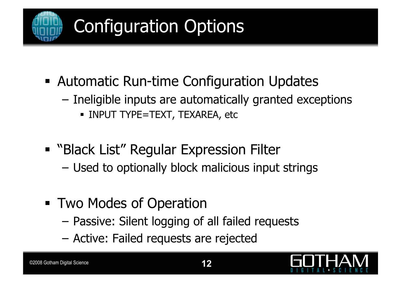

- Automatic Run-time Configuration Updates
	- Ineligible inputs are automatically granted exceptions
		- **INPUT TYPE=TEXT, TEXAREA, etc**
- **"** "Black List" Regular Expression Filter
	- Used to optionally block malicious input strings
- **Two Modes of Operation** 
	- Passive: Silent logging of all failed requests
	- Active: Failed requests are rejected

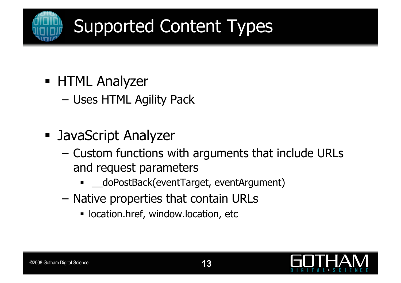

# Supported Content Types

- **HTML Analyzer** 
	- Uses HTML Agility Pack
- JavaScript Analyzer
	- Custom functions with arguments that include URLs and request parameters
		- \_\_doPostBack(eventTarget, eventArgument)
	- Native properties that contain URLs
		- **location.href, window.location, etc**

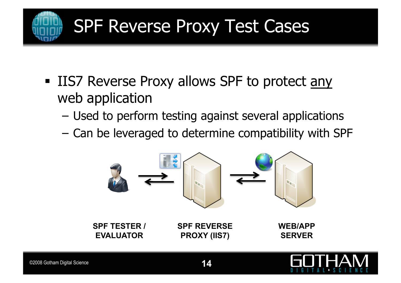

#### SPF Reverse Proxy Test Cases

- IIS7 Reverse Proxy allows SPF to protect any web application
	- Used to perform testing against several applications
	- Can be leveraged to determine compatibility with SPF

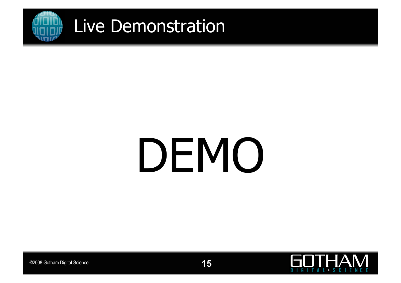

# DEMO



**15** ©2008 Gotham Digital Science